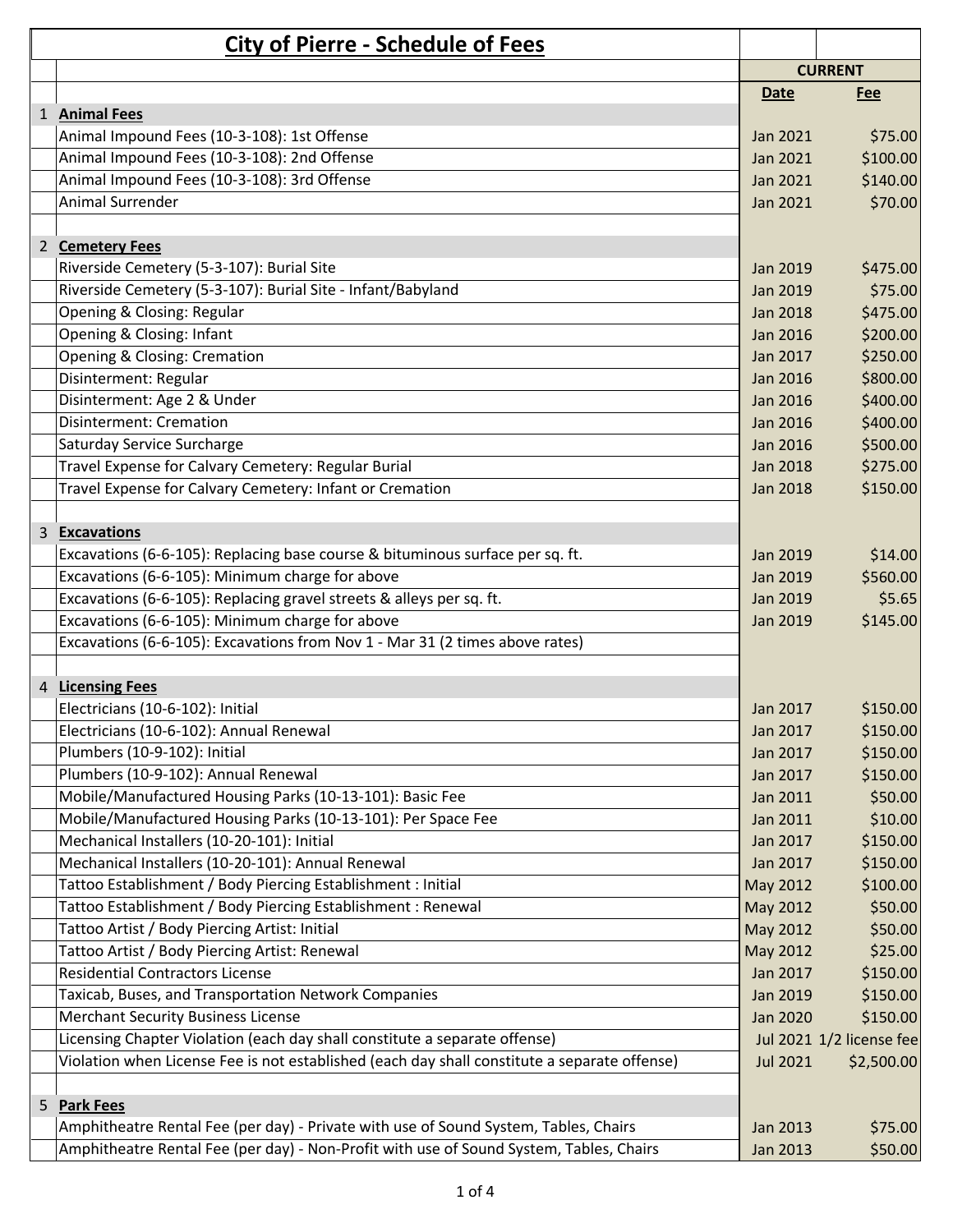| <b>City of Pierre - Schedule of Fees</b>                                                     |                 |                          |
|----------------------------------------------------------------------------------------------|-----------------|--------------------------|
|                                                                                              |                 | <b>CURRENT</b>           |
|                                                                                              | Date            | <u>Fee</u>               |
| 1 Animal Fees                                                                                |                 |                          |
| Animal Impound Fees (10-3-108): 1st Offense                                                  | Jan 2021        | \$75.00                  |
| Animal Impound Fees (10-3-108): 2nd Offense                                                  | <b>Jan 2021</b> | \$100.00                 |
| Animal Impound Fees (10-3-108): 3rd Offense                                                  | Jan 2021        | \$140.00                 |
| Animal Surrender                                                                             | Jan 2021        | \$70.00                  |
| 2 Cemetery Fees                                                                              |                 |                          |
| Riverside Cemetery (5-3-107): Burial Site                                                    | Jan 2019        | \$475.00                 |
| Riverside Cemetery (5-3-107): Burial Site - Infant/Babyland                                  | <b>Jan 2019</b> | \$75.00                  |
| Opening & Closing: Regular                                                                   | <b>Jan 2018</b> | \$475.00                 |
| Opening & Closing: Infant                                                                    | Jan 2016        | \$200.00                 |
| Opening & Closing: Cremation                                                                 | Jan 2017        | \$250.00                 |
| Disinterment: Regular                                                                        | Jan 2016        | \$800.00                 |
| Disinterment: Age 2 & Under                                                                  | Jan 2016        | \$400.00                 |
| <b>Disinterment: Cremation</b>                                                               | Jan 2016        | \$400.00                 |
| Saturday Service Surcharge                                                                   | Jan 2016        | \$500.00                 |
| Travel Expense for Calvary Cemetery: Regular Burial                                          | Jan 2018        | \$275.00                 |
| Travel Expense for Calvary Cemetery: Infant or Cremation                                     | Jan 2018        | \$150.00                 |
| 3 Excavations                                                                                |                 |                          |
| Excavations (6-6-105): Replacing base course & bituminous surface per sq. ft.                | <b>Jan 2019</b> | \$14.00                  |
| Excavations (6-6-105): Minimum charge for above                                              | Jan 2019        | \$560.00                 |
| Excavations (6-6-105): Replacing gravel streets & alleys per sq. ft.                         | Jan 2019        | \$5.65                   |
| Excavations (6-6-105): Minimum charge for above                                              | Jan 2019        | \$145.00                 |
| Excavations (6-6-105): Excavations from Nov 1 - Mar 31 (2 times above rates)                 |                 |                          |
|                                                                                              |                 |                          |
| 4 Licensing Fees                                                                             |                 |                          |
| Electricians (10-6-102): Initial                                                             | Jan 2017        | \$150.00                 |
| Electricians (10-6-102): Annual Renewal                                                      | Jan 2017        | \$150.00                 |
| Plumbers (10-9-102): Initial                                                                 | Jan 2017        | \$150.00                 |
| Plumbers (10-9-102): Annual Renewal                                                          | Jan 2017        | \$150.00                 |
| Mobile/Manufactured Housing Parks (10-13-101): Basic Fee                                     | Jan 2011        | \$50.00                  |
| Mobile/Manufactured Housing Parks (10-13-101): Per Space Fee                                 | <b>Jan 2011</b> | \$10.00                  |
| Mechanical Installers (10-20-101): Initial                                                   | Jan 2017        | \$150.00                 |
| Mechanical Installers (10-20-101): Annual Renewal                                            | Jan 2017        | \$150.00                 |
| Tattoo Establishment / Body Piercing Establishment : Initial                                 | May 2012        | \$100.00                 |
| Tattoo Establishment / Body Piercing Establishment : Renewal                                 | May 2012        | \$50.00                  |
| Tattoo Artist / Body Piercing Artist: Initial                                                | May 2012        | \$50.00                  |
| Tattoo Artist / Body Piercing Artist: Renewal                                                | May 2012        | \$25.00                  |
| <b>Residential Contractors License</b>                                                       | Jan 2017        | \$150.00                 |
| Taxicab, Buses, and Transportation Network Companies                                         | Jan 2019        | \$150.00                 |
| <b>Merchant Security Business License</b>                                                    | Jan 2020        | \$150.00                 |
| Licensing Chapter Violation (each day shall constitute a separate offense)                   |                 | Jul 2021 1/2 license fee |
| Violation when License Fee is not established (each day shall constitute a separate offense) | <b>Jul 2021</b> | \$2,500.00               |
|                                                                                              |                 |                          |
| 5 Park Fees                                                                                  |                 |                          |
| Amphitheatre Rental Fee (per day) - Private with use of Sound System, Tables, Chairs         | Jan 2013        | \$75.00                  |
| Amphitheatre Rental Fee (per day) - Non-Profit with use of Sound System, Tables, Chairs      | Jan 2013        | \$50.00                  |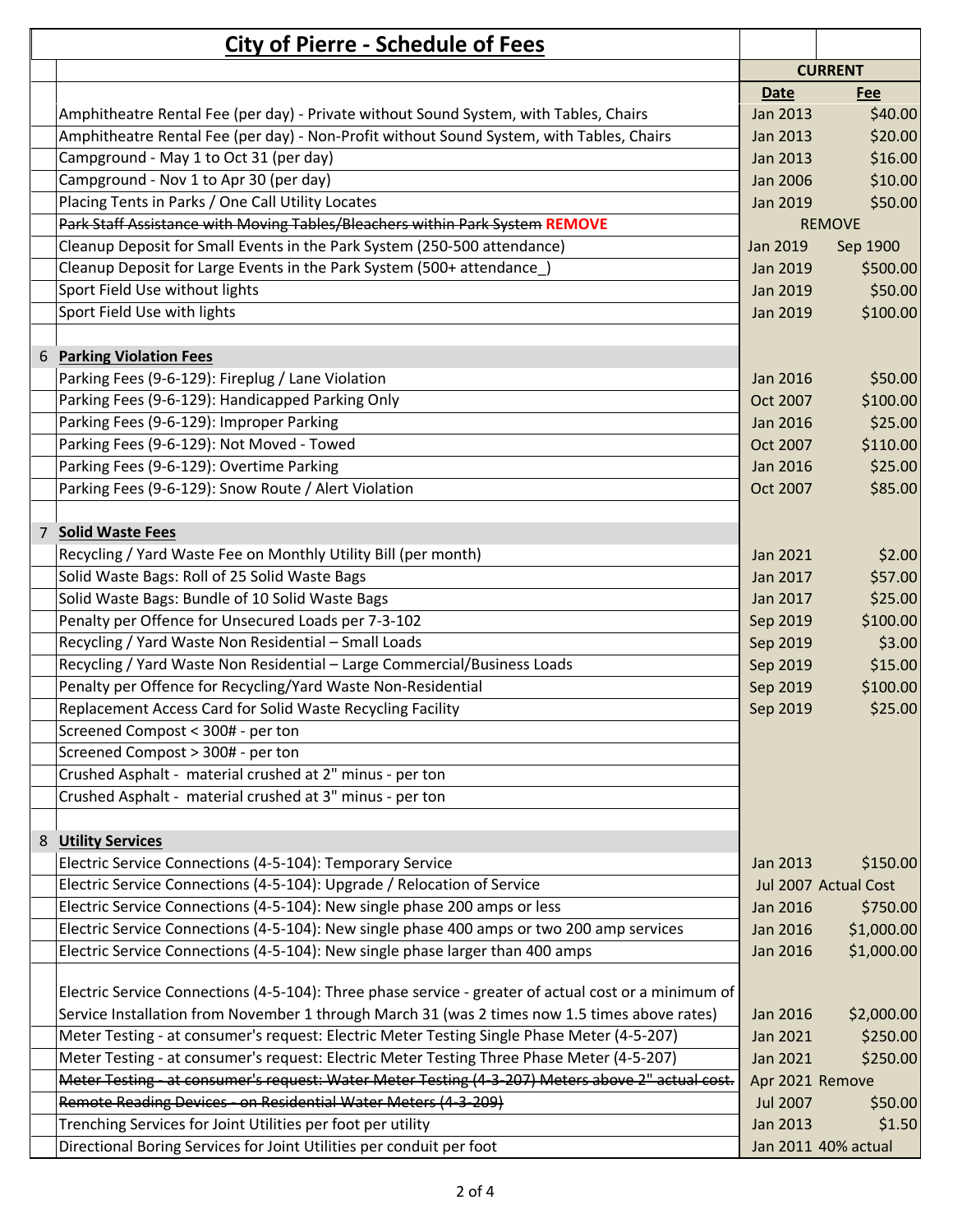|   | <b>City of Pierre - Schedule of Fees</b>                                                             |                 |                      |
|---|------------------------------------------------------------------------------------------------------|-----------------|----------------------|
|   |                                                                                                      | <b>CURRENT</b>  |                      |
|   |                                                                                                      | <b>Date</b>     | Fee                  |
|   | Amphitheatre Rental Fee (per day) - Private without Sound System, with Tables, Chairs                | Jan 2013        | \$40.00              |
|   | Amphitheatre Rental Fee (per day) - Non-Profit without Sound System, with Tables, Chairs             | Jan 2013        | \$20.00              |
|   | Campground - May 1 to Oct 31 (per day)                                                               | <b>Jan 2013</b> | \$16.00              |
|   | Campground - Nov 1 to Apr 30 (per day)                                                               | <b>Jan 2006</b> | \$10.00              |
|   | Placing Tents in Parks / One Call Utility Locates                                                    | Jan 2019        | \$50.00              |
|   | Park Staff Assistance with Moving Tables/Bleachers within Park System REMOVE                         |                 | <b>REMOVE</b>        |
|   | Cleanup Deposit for Small Events in the Park System (250-500 attendance)                             | Jan 2019        | Sep 1900             |
|   | Cleanup Deposit for Large Events in the Park System (500+ attendance)                                | Jan 2019        | \$500.00             |
|   | Sport Field Use without lights                                                                       | Jan 2019        | \$50.00              |
|   | Sport Field Use with lights                                                                          | Jan 2019        | \$100.00             |
|   |                                                                                                      |                 |                      |
| 6 | <b>Parking Violation Fees</b>                                                                        |                 |                      |
|   | Parking Fees (9-6-129): Fireplug / Lane Violation                                                    | Jan 2016        | \$50.00              |
|   | Parking Fees (9-6-129): Handicapped Parking Only                                                     | Oct 2007        | \$100.00             |
|   | Parking Fees (9-6-129): Improper Parking                                                             | Jan 2016        | \$25.00              |
|   | Parking Fees (9-6-129): Not Moved - Towed                                                            | Oct 2007        | \$110.00             |
|   | Parking Fees (9-6-129): Overtime Parking                                                             | Jan 2016        | \$25.00              |
|   | Parking Fees (9-6-129): Snow Route / Alert Violation                                                 | Oct 2007        | \$85.00              |
|   |                                                                                                      |                 |                      |
|   | 7 Solid Waste Fees                                                                                   |                 |                      |
|   | Recycling / Yard Waste Fee on Monthly Utility Bill (per month)                                       | Jan 2021        | \$2.00               |
|   | Solid Waste Bags: Roll of 25 Solid Waste Bags                                                        | Jan 2017        | \$57.00              |
|   | Solid Waste Bags: Bundle of 10 Solid Waste Bags                                                      | Jan 2017        | \$25.00              |
|   | Penalty per Offence for Unsecured Loads per 7-3-102                                                  | Sep 2019        | \$100.00             |
|   | Recycling / Yard Waste Non Residential - Small Loads                                                 | Sep 2019        | \$3.00               |
|   | Recycling / Yard Waste Non Residential - Large Commercial/Business Loads                             | Sep 2019        | \$15.00              |
|   | Penalty per Offence for Recycling/Yard Waste Non-Residential                                         | Sep 2019        | \$100.00             |
|   | Replacement Access Card for Solid Waste Recycling Facility                                           | Sep 2019        | \$25.00              |
|   | Screened Compost < 300# - per ton                                                                    |                 |                      |
|   | Screened Compost > 300# - per ton                                                                    |                 |                      |
|   | Crushed Asphalt - material crushed at 2" minus - per ton                                             |                 |                      |
|   | Crushed Asphalt - material crushed at 3" minus - per ton                                             |                 |                      |
|   |                                                                                                      |                 |                      |
|   | 8 Utility Services                                                                                   |                 |                      |
|   | Electric Service Connections (4-5-104): Temporary Service                                            | Jan 2013        | \$150.00             |
|   | Electric Service Connections (4-5-104): Upgrade / Relocation of Service                              |                 | Jul 2007 Actual Cost |
|   | Electric Service Connections (4-5-104): New single phase 200 amps or less                            | Jan 2016        | \$750.00             |
|   | Electric Service Connections (4-5-104): New single phase 400 amps or two 200 amp services            | Jan 2016        | \$1,000.00           |
|   | Electric Service Connections (4-5-104): New single phase larger than 400 amps                        | Jan 2016        | \$1,000.00           |
|   |                                                                                                      |                 |                      |
|   | Electric Service Connections (4-5-104): Three phase service - greater of actual cost or a minimum of |                 |                      |
|   | Service Installation from November 1 through March 31 (was 2 times now 1.5 times above rates)        | Jan 2016        | \$2,000.00           |
|   | Meter Testing - at consumer's request: Electric Meter Testing Single Phase Meter (4-5-207)           | Jan 2021        | \$250.00             |
|   | Meter Testing - at consumer's request: Electric Meter Testing Three Phase Meter (4-5-207)            | Jan 2021        | \$250.00             |
|   | Meter Testing at consumer's request: Water Meter Testing (4-3-207) Meters above 2" actual cost.      | Apr 2021 Remove |                      |
|   | Remote Reading Devices - on Residential Water Meters (4-3-209)                                       | <b>Jul 2007</b> | \$50.00              |
|   | Trenching Services for Joint Utilities per foot per utility                                          | Jan 2013        | \$1.50               |
|   | Directional Boring Services for Joint Utilities per conduit per foot                                 |                 | Jan 2011 40% actual  |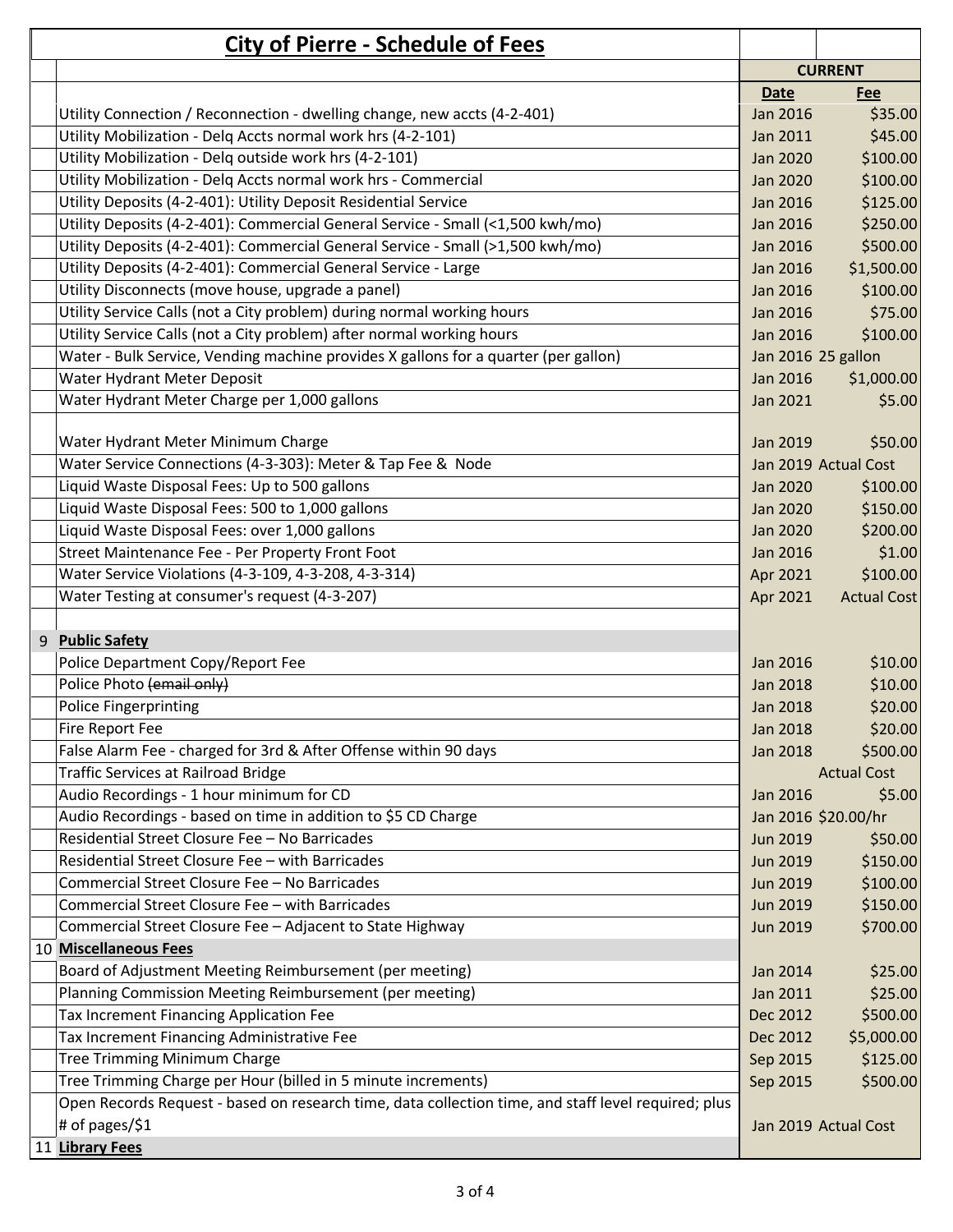| <b>City of Pierre - Schedule of Fees</b>                                                            |                 |                      |
|-----------------------------------------------------------------------------------------------------|-----------------|----------------------|
|                                                                                                     |                 | <b>CURRENT</b>       |
|                                                                                                     | <b>Date</b>     | Fee                  |
| Utility Connection / Reconnection - dwelling change, new accts (4-2-401)                            | Jan 2016        | \$35.00              |
| Utility Mobilization - Delq Accts normal work hrs (4-2-101)                                         | Jan 2011        | \$45.00              |
| Utility Mobilization - Delq outside work hrs (4-2-101)                                              | <b>Jan 2020</b> | \$100.00             |
| Utility Mobilization - Delg Accts normal work hrs - Commercial                                      | <b>Jan 2020</b> | \$100.00             |
| Utility Deposits (4-2-401): Utility Deposit Residential Service                                     | Jan 2016        | \$125.00             |
| Utility Deposits (4-2-401): Commercial General Service - Small (<1,500 kwh/mo)                      | <b>Jan 2016</b> | \$250.00             |
| Utility Deposits (4-2-401): Commercial General Service - Small (>1,500 kwh/mo)                      | Jan 2016        | \$500.00             |
| Utility Deposits (4-2-401): Commercial General Service - Large                                      | <b>Jan 2016</b> | \$1,500.00           |
| Utility Disconnects (move house, upgrade a panel)                                                   | <b>Jan 2016</b> | \$100.00             |
| Utility Service Calls (not a City problem) during normal working hours                              | Jan 2016        | \$75.00              |
| Utility Service Calls (not a City problem) after normal working hours                               | Jan 2016        | \$100.00             |
| Water - Bulk Service, Vending machine provides X gallons for a quarter (per gallon)                 |                 | Jan 2016 25 gallon   |
| Water Hydrant Meter Deposit                                                                         | Jan 2016        | \$1,000.00           |
| Water Hydrant Meter Charge per 1,000 gallons                                                        | Jan 2021        | \$5.00               |
|                                                                                                     |                 |                      |
| Water Hydrant Meter Minimum Charge                                                                  | Jan 2019        | \$50.00              |
| Water Service Connections (4-3-303): Meter & Tap Fee & Node                                         |                 | Jan 2019 Actual Cost |
| Liquid Waste Disposal Fees: Up to 500 gallons                                                       | Jan 2020        | \$100.00             |
| Liquid Waste Disposal Fees: 500 to 1,000 gallons                                                    | Jan 2020        | \$150.00             |
| Liquid Waste Disposal Fees: over 1,000 gallons                                                      | Jan 2020        | \$200.00             |
| Street Maintenance Fee - Per Property Front Foot                                                    | <b>Jan 2016</b> | \$1.00               |
| Water Service Violations (4-3-109, 4-3-208, 4-3-314)                                                | Apr 2021        | \$100.00             |
| Water Testing at consumer's request (4-3-207)                                                       | Apr 2021        | <b>Actual Cost</b>   |
|                                                                                                     |                 |                      |
| <b>Public Safety</b><br>9                                                                           |                 |                      |
| Police Department Copy/Report Fee                                                                   | Jan 2016        | \$10.00              |
| Police Photo (email only)                                                                           | Jan 2018        | \$10.00              |
| <b>Police Fingerprinting</b>                                                                        | <b>Jan 2018</b> | \$20.00              |
| Fire Report Fee                                                                                     | <b>Jan 2018</b> | \$20.00              |
| False Alarm Fee - charged for 3rd & After Offense within 90 days                                    | <b>Jan 2018</b> | \$500.00             |
| Traffic Services at Railroad Bridge                                                                 |                 | <b>Actual Cost</b>   |
| Audio Recordings - 1 hour minimum for CD                                                            | <b>Jan 2016</b> | \$5.00               |
| Audio Recordings - based on time in addition to \$5 CD Charge                                       |                 | Jan 2016 \$20.00/hr  |
| Residential Street Closure Fee - No Barricades                                                      | <b>Jun 2019</b> | \$50.00              |
| Residential Street Closure Fee - with Barricades                                                    | Jun 2019        | \$150.00             |
| Commercial Street Closure Fee - No Barricades                                                       | <b>Jun 2019</b> | \$100.00             |
| Commercial Street Closure Fee - with Barricades                                                     | Jun 2019        | \$150.00             |
| Commercial Street Closure Fee - Adjacent to State Highway                                           | Jun 2019        | \$700.00             |
| 10 Miscellaneous Fees                                                                               |                 |                      |
| Board of Adjustment Meeting Reimbursement (per meeting)                                             | Jan 2014        | \$25.00              |
| Planning Commission Meeting Reimbursement (per meeting)                                             | Jan 2011        | \$25.00              |
| Tax Increment Financing Application Fee                                                             | Dec 2012        | \$500.00             |
| Tax Increment Financing Administrative Fee                                                          | Dec 2012        | \$5,000.00           |
| Tree Trimming Minimum Charge                                                                        | Sep 2015        | \$125.00             |
| Tree Trimming Charge per Hour (billed in 5 minute increments)                                       | Sep 2015        | \$500.00             |
| Open Records Request - based on research time, data collection time, and staff level required; plus |                 |                      |
| # of pages/\$1                                                                                      |                 | Jan 2019 Actual Cost |
| 11 Library Fees                                                                                     |                 |                      |